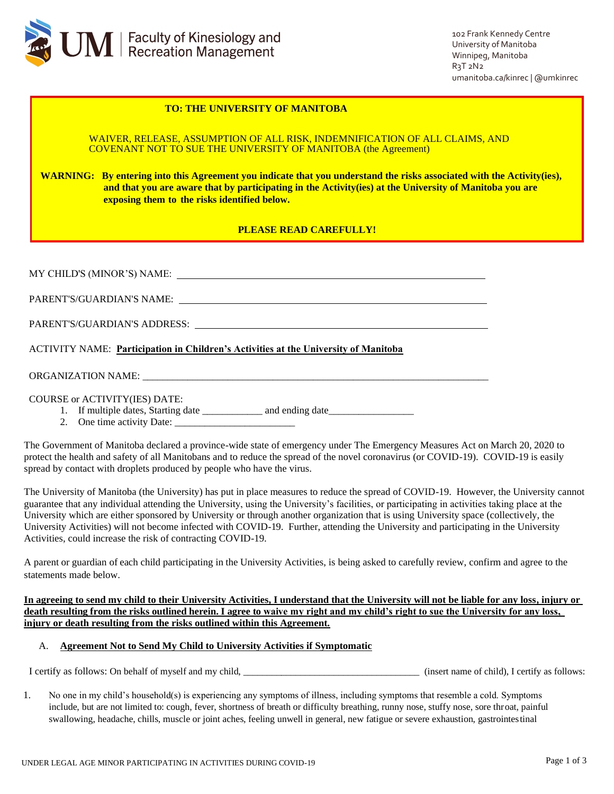

102 Frank Kennedy Centre University of Manitoba Winnipeg, Manitoba  $R_3T_2N_2$ umanitoba.ca/kinrec | @umkinrec

## **TO: THE UNIVERSITY OF MANITOBA**

WAIVER, RELEASE, ASSUMPTION OF ALL RISK, INDEMNIFICATION OF ALL CLAIMS, AND COVENANT NOT TO SUE THE UNIVERSITY OF MANITOBA (the Agreement)

**WARNING: By entering into this Agreement you indicate that you understand the risks associated with the Activity(ies), and that you are aware that by participating in the Activity(ies) at the University of Manitoba you are exposing them to the risks identified below.**

# **PLEASE READ CAREFULLY!**

| <b>ACTIVITY NAME:</b> Participation in Children's Activities at the University of Manitoba |  |  |
|--------------------------------------------------------------------------------------------|--|--|
|                                                                                            |  |  |
| <b>COURSE or ACTIVITY(IES) DATE:</b>                                                       |  |  |

2. One time activity Date: \_\_\_\_\_\_\_\_\_\_\_\_\_\_\_\_\_\_\_\_\_\_\_\_

The Government of Manitoba declared a province-wide state of emergency under The Emergency Measures Act on March 20, 2020 to protect the health and safety of all Manitobans and to reduce the spread of the novel coronavirus (or COVID-19). COVID-19 is easily spread by contact with droplets produced by people who have the virus.

The University of Manitoba (the University) has put in place measures to reduce the spread of COVID-19. However, the University cannot guarantee that any individual attending the University, using the University's facilities, or participating in activities taking place at the University which are either sponsored by University or through another organization that is using University space (collectively, the University Activities) will not become infected with COVID-19. Further, attending the University and participating in the University Activities, could increase the risk of contracting COVID-19.

A parent or guardian of each child participating in the University Activities, is being asked to carefully review, confirm and agree to the statements made below.

**In agreeing to send my child to their University Activities, I understand that the University will not be liable for any loss, injury or death resulting from the risks outlined herein. I agree to waive my right and my child's right to sue the University for any loss, injury or death resulting from the risks outlined within this Agreement.**

# A. **Agreement Not to Send My Child to University Activities if Symptomatic**

I certify as follows: On behalf of myself and my child, \_\_\_\_\_\_\_\_\_\_\_\_\_\_\_\_\_\_\_\_\_\_\_\_\_\_\_\_\_\_\_\_\_\_\_\_\_ (insert name of child), I certify as follows:

1. No one in my child's household(s) is experiencing any symptoms of illness, including symptoms that resemble a cold. Symptoms include, but are not limited to: cough, fever, shortness of breath or difficulty breathing, runny nose, stuffy nose, sore throat, painful swallowing, headache, chills, muscle or joint aches, feeling unwell in general, new fatigue or severe exhaustion, gastrointestinal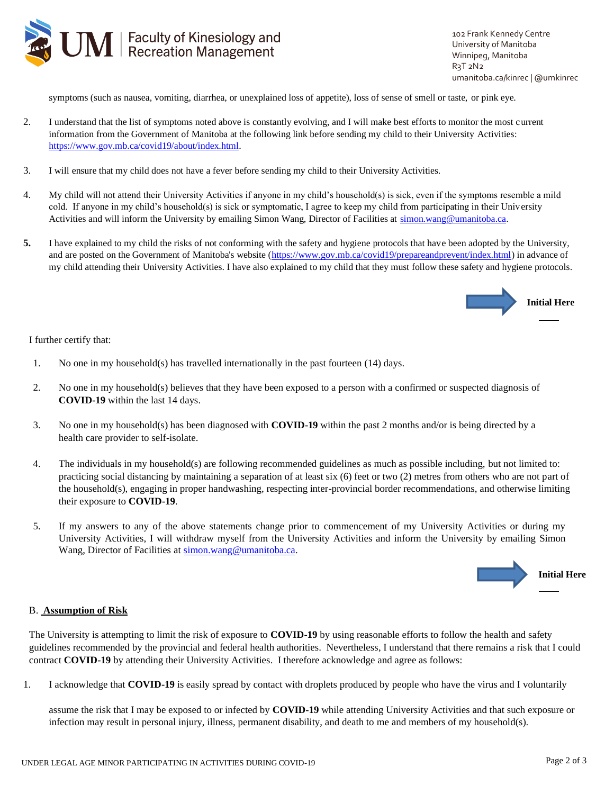

102 Frank Kennedy Centre University of Manitoba Winnipeg, Manitoba  $R_3T_2N_2$ umanitoba.ca/kinrec | @umkinrec

symptoms (such as nausea, vomiting, diarrhea, or unexplained loss of appetite), loss of sense of smell or taste, or pink eye.

- 2. I understand that the list of symptoms noted above is constantly evolving, and I will make best efforts to monitor the most current information from the Government of Manitoba at the following link before sending my child to their University Activities: [https://www.gov.mb.ca/covid19/about/index.html.](https://www.gov.mb.ca/covid19/about/index.html)
- 3. I will ensure that my child does not have a fever before sending my child to their University Activities.
- 4. My child will not attend their University Activities if anyone in my child's household(s) is sick, even if the symptoms resemble a mild cold. If anyone in my child's household(s) is sick or symptomatic, I agree to keep my child from participating in their University Activities and will inform the University by emailing Simon Wang, Director of Facilities at [simon.wang@umanitoba.ca.](mailto:simon.wang@umanitoba.ca)
- **5.** I have explained to my child the risks of not conforming with the safety and hygiene protocols that have been adopted by the University, and are posted on the Government of Manitoba's website [\(https://www.gov.mb.ca/covid19/prepareandprevent/index.html\)](https://www.gov.mb.ca/covid19/prepareandprevent/index.html) in advance of my child attending their University Activities. I have also explained to my child that they must follow these safety and hygiene protocols.



I further certify that:

- 1. No one in my household(s) has travelled internationally in the past fourteen (14) days.
- 2. No one in my household(s) believes that they have been exposed to a person with a confirmed or suspected diagnosis of **COVID-19** within the last 14 days.
- 3. No one in my household(s) has been diagnosed with **COVID-19** within the past 2 months and/or is being directed by a health care provider to self-isolate.
- 4. The individuals in my household(s) are following recommended guidelines as much as possible including, but not limited to: practicing social distancing by maintaining a separation of at least six (6) feet or two (2) metres from others who are not part of the household(s), engaging in proper handwashing, respecting inter-provincial border recommendations, and otherwise limiting their exposure to **COVID-19**.
- 5. If my answers to any of the above statements change prior to commencement of my University Activities or during my University Activities, I will withdraw myself from the University Activities and inform the University by emailing Simon Wang, Director of Facilities at [simon.wang@umanitoba.ca.](mailto:simon.wang@umanitoba.ca)



#### B. **Assumption of Risk**

The University is attempting to limit the risk of exposure to **COVID-19** by using reasonable efforts to follow the health and safety guidelines recommended by the provincial and federal health authorities. Nevertheless, I understand that there remains a risk that I could contract **COVID-19** by attending their University Activities. I therefore acknowledge and agree as follows:

1. I acknowledge that **COVID-19** is easily spread by contact with droplets produced by people who have the virus and I voluntarily

assume the risk that I may be exposed to or infected by **COVID-19** while attending University Activities and that such exposure or infection may result in personal injury, illness, permanent disability, and death to me and members of my household(s).